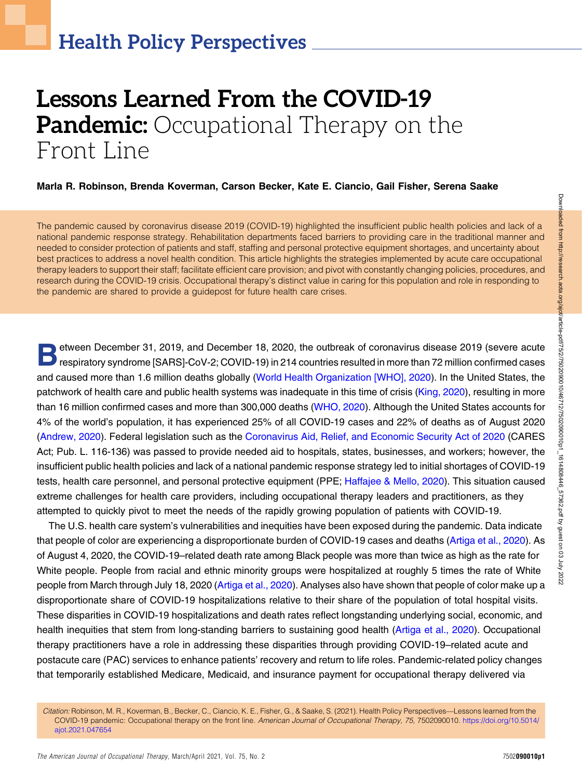# Lessons Learned From the COVID-19 **Pandemic:** Occupational Therapy on the Front Line

#### Marla R. Robinson, Brenda Koverman, Carson Becker, Kate E. Ciancio, Gail Fisher, Serena Saake

The pandemic caused by coronavirus disease 2019 (COVID-19) highlighted the insufficient public health policies and lack of a national pandemic response strategy. Rehabilitation departments faced barriers to providing care in the traditional manner and needed to consider protection of patients and staff, staffing and personal protective equipment shortages, and uncertainty about best practices to address a novel health condition. This article highlights the strategies implemented by acute care occupational therapy leaders to support their staff; facilitate efficient care provision; and pivot with constantly changing policies, procedures, and research during the COVID-19 crisis. Occupational therapy's distinct value in caring for this population and role in responding to the pandemic are shared to provide a guidepost for future health care crises.

etween December 31, 2019, and December 18, 2020, the outbreak of coronavirus disease 2019 (severe acute<br>respiratory syndrome [SARS]-CoV-2; COVID-19) in 214 countries resulted in more than 72 million confirmed cases and caused more than 1.6 million deaths globally [\(World Health Organization \[WHO\], 2020](#page-6-0)). In the United States, the patchwork of health care and public health systems was inadequate in this time of crisis [\(King, 2020](#page-6-1)), resulting in more than 16 million confirmed cases and more than 300,000 deaths ([WHO, 2020](#page-6-0)). Although the United States accounts for 4% of the world's population, it has experienced 25% of all COVID-19 cases and 22% of deaths as of August 2020 [\(Andrew, 2020](#page-5-0)). Federal legislation such as the [Coronavirus Aid, Relief, and Economic Security Act of 2020](#page-5-1) (CARES Act; Pub. L. 116-136) was passed to provide needed aid to hospitals, states, businesses, and workers; however, the insufficient public health policies and lack of a national pandemic response strategy led to initial shortages of COVID-19 tests, health care personnel, and personal protective equipment (PPE; [Haffajee & Mello, 2020](#page-5-2)). This situation caused extreme challenges for health care providers, including occupational therapy leaders and practitioners, as they attempted to quickly pivot to meet the needs of the rapidly growing population of patients with COVID-19.

The U.S. health care system's vulnerabilities and inequities have been exposed during the pandemic. Data indicate that people of color are experiencing a disproportionate burden of COVID-19 cases and deaths [\(Artiga et al., 2020](#page-5-3)). As of August 4, 2020, the COVID-19–related death rate among Black people was more than twice as high as the rate for White people. People from racial and ethnic minority groups were hospitalized at roughly 5 times the rate of White people from March through July 18, 2020 [\(Artiga et al., 2020\)](#page-5-3). Analyses also have shown that people of color make up a disproportionate share of COVID-19 hospitalizations relative to their share of the population of total hospital visits. These disparities in COVID-19 hospitalizations and death rates reflect longstanding underlying social, economic, and health inequities that stem from long-standing barriers to sustaining good health [\(Artiga et al., 2020\)](#page-5-3). Occupational therapy practitioners have a role in addressing these disparities through providing COVID-19–related acute and postacute care (PAC) services to enhance patients' recovery and return to life roles. Pandemic-related policy changes that temporarily established Medicare, Medicaid, and insurance payment for occupational therapy delivered via

Citation: Robinson, M. R., Koverman, B., Becker, C., Ciancio, K. E., Fisher, G., & Saake, S. (2021). Health Policy Perspectives—Lessons learned from the COVID-19 pandemic: Occupational therapy on the front line. American Journal of Occupational Therapy, 75, 7502090010. [https://doi.org/10.5014/](https://doi.org/10.5014/ajot.2021.047654) [ajot.2021.047654](https://doi.org/10.5014/ajot.2021.047654)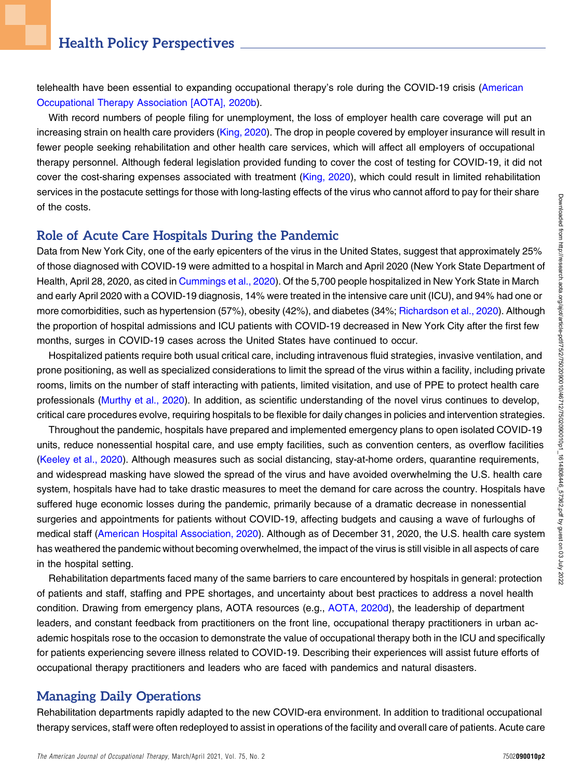telehealth have been essential to expanding occupational therapy's role during the COVID-19 crisis [\(American](#page-5-4) [Occupational Therapy Association \[AOTA\], 2020b\)](#page-5-4).

With record numbers of people filing for unemployment, the loss of employer health care coverage will put an increasing strain on health care providers ([King, 2020\)](#page-6-1). The drop in people covered by employer insurance will result in fewer people seeking rehabilitation and other health care services, which will affect all employers of occupational therapy personnel. Although federal legislation provided funding to cover the cost of testing for COVID-19, it did not cover the cost-sharing expenses associated with treatment [\(King, 2020](#page-6-1)), which could result in limited rehabilitation services in the postacute settings for those with long-lasting effects of the virus who cannot afford to pay for their share of the costs.

#### Role of Acute Care Hospitals During the Pandemic

Data from New York City, one of the early epicenters of the virus in the United States, suggest that approximately 25% of those diagnosed with COVID-19 were admitted to a hospital in March and April 2020 (New York State Department of Health, April 28, 2020, as cited in [Cummings et al., 2020\)](#page-5-5). Of the 5,700 people hospitalized in New York State in March and early April 2020 with a COVID-19 diagnosis, 14% were treated in the intensive care unit (ICU), and 94% had one or more comorbidities, such as hypertension (57%), obesity (42%), and diabetes (34%; [Richardson et al., 2020\)](#page-6-2). Although the proportion of hospital admissions and ICU patients with COVID-19 decreased in New York City after the first few months, surges in COVID-19 cases across the United States have continued to occur.

Hospitalized patients require both usual critical care, including intravenous fluid strategies, invasive ventilation, and prone positioning, as well as specialized considerations to limit the spread of the virus within a facility, including private rooms, limits on the number of staff interacting with patients, limited visitation, and use of PPE to protect health care professionals ([Murthy et al., 2020](#page-6-3)). In addition, as scientific understanding of the novel virus continues to develop, critical care procedures evolve, requiring hospitals to be flexible for daily changes in policies and intervention strategies.

Throughout the pandemic, hospitals have prepared and implemented emergency plans to open isolated COVID-19 units, reduce nonessential hospital care, and use empty facilities, such as convention centers, as overflow facilities [\(Keeley et al., 2020](#page-5-6)). Although measures such as social distancing, stay-at-home orders, quarantine requirements, and widespread masking have slowed the spread of the virus and have avoided overwhelming the U.S. health care system, hospitals have had to take drastic measures to meet the demand for care across the country. Hospitals have suffered huge economic losses during the pandemic, primarily because of a dramatic decrease in nonessential surgeries and appointments for patients without COVID-19, affecting budgets and causing a wave of furloughs of medical staff [\(American Hospital Association, 2020\)](#page-5-7). Although as of December 31, 2020, the U.S. health care system has weathered the pandemic without becoming overwhelmed, the impact of the virus is still visible in all aspects of care in the hospital setting.

Rehabilitation departments faced many of the same barriers to care encountered by hospitals in general: protection of patients and staff, staffing and PPE shortages, and uncertainty about best practices to address a novel health condition. Drawing from emergency plans, AOTA resources (e.g., [AOTA, 2020d\)](#page-5-8), the leadership of department leaders, and constant feedback from practitioners on the front line, occupational therapy practitioners in urban academic hospitals rose to the occasion to demonstrate the value of occupational therapy both in the ICU and specifically for patients experiencing severe illness related to COVID-19. Describing their experiences will assist future efforts of occupational therapy practitioners and leaders who are faced with pandemics and natural disasters.

# Managing Daily Operations

Rehabilitation departments rapidly adapted to the new COVID-era environment. In addition to traditional occupational therapy services, staff were often redeployed to assist in operations of the facility and overall care of patients. Acute care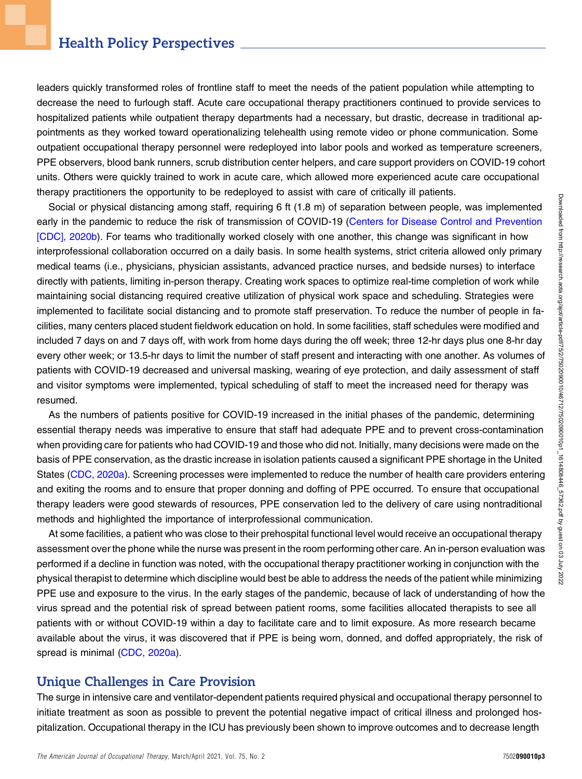## Health Policy Perspectives

leaders quickly transformed roles of frontline staff to meet the needs of the patient population while attempting to decrease the need to furlough staff. Acute care occupational therapy practitioners continued to provide services to hospitalized patients while outpatient therapy departments had a necessary, but drastic, decrease in traditional appointments as they worked toward operationalizing telehealth using remote video or phone communication. Some outpatient occupational therapy personnel were redeployed into labor pools and worked as temperature screeners, PPE observers, blood bank runners, scrub distribution center helpers, and care support providers on COVID-19 cohort units. Others were quickly trained to work in acute care, which allowed more experienced acute care occupational therapy practitioners the opportunity to be redeployed to assist with care of critically ill patients.

Social or physical distancing among staff, requiring 6 ft (1.8 m) of separation between people, was implemented early in the pandemic to reduce the risk of transmission of COVID-19 ([Centers for Disease Control and Prevention](#page-5-9) [\[CDC\], 2020b](#page-5-9)). For teams who traditionally worked closely with one another, this change was significant in how interprofessional collaboration occurred on a daily basis. In some health systems, strict criteria allowed only primary medical teams (i.e., physicians, physician assistants, advanced practice nurses, and bedside nurses) to interface directly with patients, limiting in-person therapy. Creating work spaces to optimize real-time completion of work while maintaining social distancing required creative utilization of physical work space and scheduling. Strategies were implemented to facilitate social distancing and to promote staff preservation. To reduce the number of people in facilities, many centers placed student fieldwork education on hold. In some facilities, staff schedules were modified and included 7 days on and 7 days off, with work from home days during the off week; three 12-hr days plus one 8-hr day every other week; or 13.5-hr days to limit the number of staff present and interacting with one another. As volumes of patients with COVID-19 decreased and universal masking, wearing of eye protection, and daily assessment of staff and visitor symptoms were implemented, typical scheduling of staff to meet the increased need for therapy was resumed.

As the numbers of patients positive for COVID-19 increased in the initial phases of the pandemic, determining essential therapy needs was imperative to ensure that staff had adequate PPE and to prevent cross-contamination when providing care for patients who had COVID-19 and those who did not. Initially, many decisions were made on the basis of PPE conservation, as the drastic increase in isolation patients caused a significant PPE shortage in the United States ([CDC, 2020a](#page-5-10)). Screening processes were implemented to reduce the number of health care providers entering and exiting the rooms and to ensure that proper donning and doffing of PPE occurred. To ensure that occupational therapy leaders were good stewards of resources, PPE conservation led to the delivery of care using nontraditional methods and highlighted the importance of interprofessional communication.

At some facilities, a patient who was close to their prehospital functional level would receive an occupational therapy assessment over the phone while the nurse was present in the room performing other care. An in-person evaluation was performed if a decline in function was noted, with the occupational therapy practitioner working in conjunction with the physical therapist to determine which discipline would best be able to address the needs of the patient while minimizing PPE use and exposure to the virus. In the early stages of the pandemic, because of lack of understanding of how the virus spread and the potential risk of spread between patient rooms, some facilities allocated therapists to see all patients with or without COVID-19 within a day to facilitate care and to limit exposure. As more research became available about the virus, it was discovered that if PPE is being worn, donned, and doffed appropriately, the risk of spread is minimal ([CDC, 2020a\)](#page-5-10).

#### Unique Challenges in Care Provision

The surge in intensive care and ventilator-dependent patients required physical and occupational therapy personnel to initiate treatment as soon as possible to prevent the potential negative impact of critical illness and prolonged hospitalization. Occupational therapy in the ICU has previously been shown to improve outcomes and to decrease length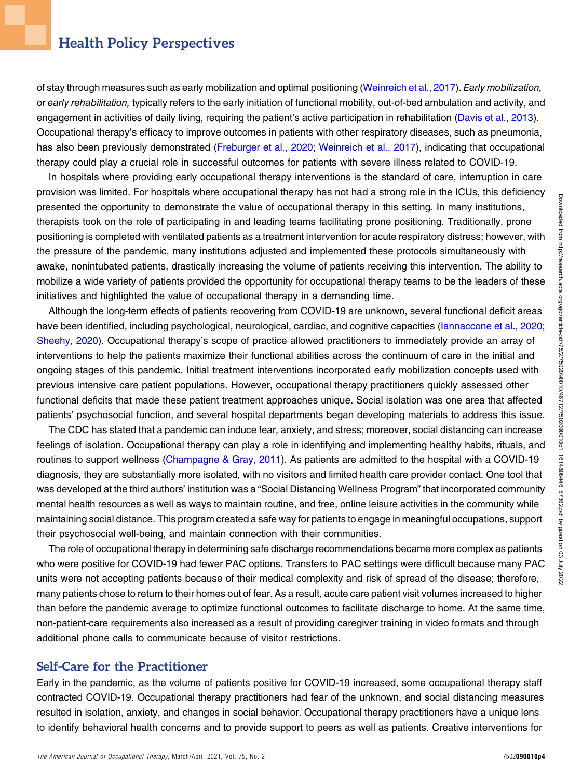of stay through measures such as early mobilization and optimal positioning [\(Weinreich et al., 2017](#page-6-4)). Early mobilization, or early rehabilitation, typically refers to the early initiation of functional mobility, out-of-bed ambulation and activity, and engagement in activities of daily living, requiring the patient's active participation in rehabilitation [\(Davis et al., 2013](#page-5-11)). Occupational therapy's efficacy to improve outcomes in patients with other respiratory diseases, such as pneumonia, has also been previously demonstrated [\(Freburger et al., 2020;](#page-5-12) [Weinreich et al., 2017\)](#page-6-4), indicating that occupational therapy could play a crucial role in successful outcomes for patients with severe illness related to COVID-19.

In hospitals where providing early occupational therapy interventions is the standard of care, interruption in care provision was limited. For hospitals where occupational therapy has not had a strong role in the ICUs, this deficiency presented the opportunity to demonstrate the value of occupational therapy in this setting. In many institutions, therapists took on the role of participating in and leading teams facilitating prone positioning. Traditionally, prone positioning is completed with ventilated patients as a treatment intervention for acute respiratory distress; however, with the pressure of the pandemic, many institutions adjusted and implemented these protocols simultaneously with awake, nonintubated patients, drastically increasing the volume of patients receiving this intervention. The ability to mobilize a wide variety of patients provided the opportunity for occupational therapy teams to be the leaders of these initiatives and highlighted the value of occupational therapy in a demanding time.

Although the long-term effects of patients recovering from COVID-19 are unknown, several functional deficit areas have been identified, including psychological, neurological, cardiac, and cognitive capacities (lannaccone et al., 2020; [Sheehy, 2020\)](#page-6-5). Occupational therapy's scope of practice allowed practitioners to immediately provide an array of interventions to help the patients maximize their functional abilities across the continuum of care in the initial and ongoing stages of this pandemic. Initial treatment interventions incorporated early mobilization concepts used with previous intensive care patient populations. However, occupational therapy practitioners quickly assessed other functional deficits that made these patient treatment approaches unique. Social isolation was one area that affected patients' psychosocial function, and several hospital departments began developing materials to address this issue.

The CDC has stated that a pandemic can induce fear, anxiety, and stress; moreover, social distancing can increase feelings of isolation. Occupational therapy can play a role in identifying and implementing healthy habits, rituals, and routines to support wellness ([Champagne & Gray, 2011\)](#page-5-14). As patients are admitted to the hospital with a COVID-19 diagnosis, they are substantially more isolated, with no visitors and limited health care provider contact. One tool that was developed at the third authors' institution was a "Social Distancing Wellness Program" that incorporated community mental health resources as well as ways to maintain routine, and free, online leisure activities in the community while maintaining social distance. This program created a safe way for patients to engage in meaningful occupations, support their psychosocial well-being, and maintain connection with their communities.

The role of occupational therapy in determining safe discharge recommendations became more complex as patients who were positive for COVID-19 had fewer PAC options. Transfers to PAC settings were difficult because many PAC units were not accepting patients because of their medical complexity and risk of spread of the disease; therefore, many patients chose to return to their homes out of fear. As a result, acute care patient visit volumes increased to higher than before the pandemic average to optimize functional outcomes to facilitate discharge to home. At the same time, non-patient-care requirements also increased as a result of providing caregiver training in video formats and through additional phone calls to communicate because of visitor restrictions.

#### Self-Care for the Practitioner

Early in the pandemic, as the volume of patients positive for COVID-19 increased, some occupational therapy staff contracted COVID-19. Occupational therapy practitioners had fear of the unknown, and social distancing measures resulted in isolation, anxiety, and changes in social behavior. Occupational therapy practitioners have a unique lens to identify behavioral health concerns and to provide support to peers as well as patients. Creative interventions for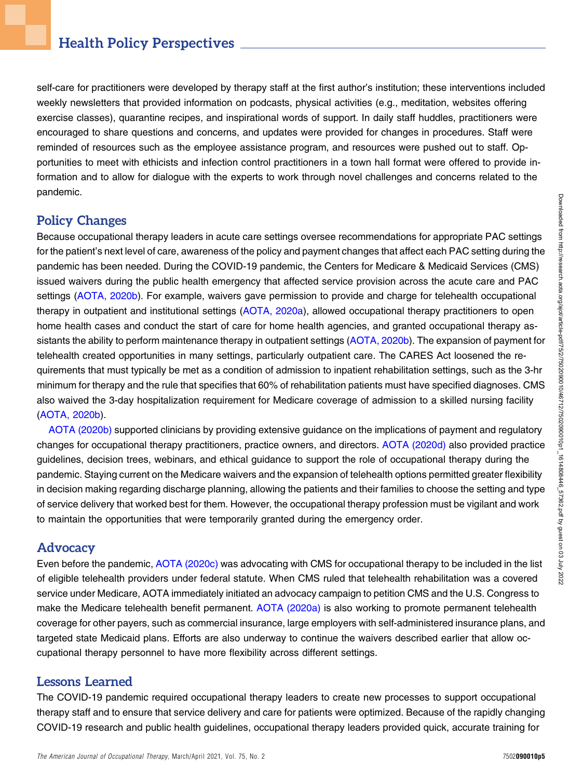self-care for practitioners were developed by therapy staff at the first author's institution; these interventions included weekly newsletters that provided information on podcasts, physical activities (e.g., meditation, websites offering exercise classes), quarantine recipes, and inspirational words of support. In daily staff huddles, practitioners were encouraged to share questions and concerns, and updates were provided for changes in procedures. Staff were reminded of resources such as the employee assistance program, and resources were pushed out to staff. Opportunities to meet with ethicists and infection control practitioners in a town hall format were offered to provide information and to allow for dialogue with the experts to work through novel challenges and concerns related to the pandemic.

## Policy Changes

Because occupational therapy leaders in acute care settings oversee recommendations for appropriate PAC settings for the patient's next level of care, awareness of the policy and payment changes that affect each PAC setting during the pandemic has been needed. During the COVID-19 pandemic, the Centers for Medicare & Medicaid Services (CMS) issued waivers during the public health emergency that affected service provision across the acute care and PAC settings ([AOTA, 2020b](#page-5-4)). For example, waivers gave permission to provide and charge for telehealth occupational therapy in outpatient and institutional settings [\(AOTA, 2020a\)](#page-5-15), allowed occupational therapy practitioners to open home health cases and conduct the start of care for home health agencies, and granted occupational therapy as-sistants the ability to perform maintenance therapy in outpatient settings ([AOTA, 2020b](#page-5-4)). The expansion of payment for telehealth created opportunities in many settings, particularly outpatient care. The CARES Act loosened the requirements that must typically be met as a condition of admission to inpatient rehabilitation settings, such as the 3-hr minimum for therapy and the rule that specifies that 60% of rehabilitation patients must have specified diagnoses. CMS also waived the 3-day hospitalization requirement for Medicare coverage of admission to a skilled nursing facility [\(AOTA, 2020b\)](#page-5-4).

[AOTA \(2020b\)](#page-5-4) supported clinicians by providing extensive guidance on the implications of payment and regulatory changes for occupational therapy practitioners, practice owners, and directors. [AOTA \(2020d\)](#page-5-8) also provided practice guidelines, decision trees, webinars, and ethical guidance to support the role of occupational therapy during the pandemic. Staying current on the Medicare waivers and the expansion of telehealth options permitted greater flexibility in decision making regarding discharge planning, allowing the patients and their families to choose the setting and type of service delivery that worked best for them. However, the occupational therapy profession must be vigilant and work to maintain the opportunities that were temporarily granted during the emergency order.

#### **Advocacy**

Even before the pandemic, [AOTA \(2020c\)](#page-5-16) was advocating with CMS for occupational therapy to be included in the list of eligible telehealth providers under federal statute. When CMS ruled that telehealth rehabilitation was a covered service under Medicare, AOTA immediately initiated an advocacy campaign to petition CMS and the U.S. Congress to make the Medicare telehealth benefit permanent. [AOTA \(2020a\)](#page-5-15) is also working to promote permanent telehealth coverage for other payers, such as commercial insurance, large employers with self-administered insurance plans, and targeted state Medicaid plans. Efforts are also underway to continue the waivers described earlier that allow occupational therapy personnel to have more flexibility across different settings.

# Lessons Learned

The COVID-19 pandemic required occupational therapy leaders to create new processes to support occupational therapy staff and to ensure that service delivery and care for patients were optimized. Because of the rapidly changing COVID-19 research and public health guidelines, occupational therapy leaders provided quick, accurate training for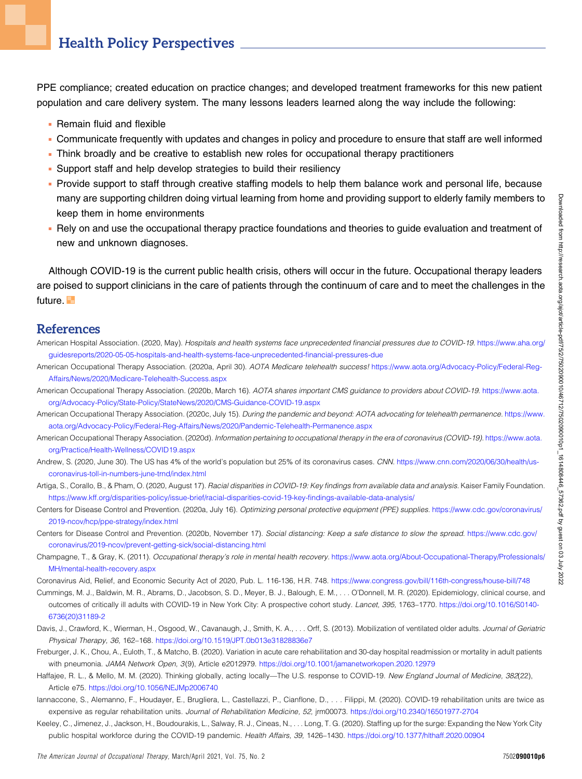PPE compliance; created education on practice changes; and developed treatment frameworks for this new patient population and care delivery system. The many lessons leaders learned along the way include the following:

- **Remain fluid and flexible**
- <sup>n</sup> Communicate frequently with updates and changes in policy and procedure to ensure that staff are well informed
- Think broadly and be creative to establish new roles for occupational therapy practitioners
- Support staff and help develop strategies to build their resiliency
- <sup>n</sup> Provide support to staff through creative staffing models to help them balance work and personal life, because many are supporting children doing virtual learning from home and providing support to elderly family members to keep them in home environments
- <sup>n</sup> Rely on and use the occupational therapy practice foundations and theories to guide evaluation and treatment of new and unknown diagnoses.

Although COVID-19 is the current public health crisis, others will occur in the future. Occupational therapy leaders are poised to support clinicians in the care of patients through the continuum of care and to meet the challenges in the future.<sup>1</sup>

#### References

- <span id="page-5-7"></span>American Hospital Association. (2020, May). Hospitals and health systems face unprecedented financial pressures due to COVID-19. [https://www.aha.org/](https://www.aha.org/guidesreports/2020-05-05-hospitals-and-health-systems-face-unprecedented-financial-pressures-due) [guidesreports/2020-05-05-hospitals-and-health-systems-face-unprecedented-](https://www.aha.org/guidesreports/2020-05-05-hospitals-and-health-systems-face-unprecedented-financial-pressures-due)financial-pressures-due
- <span id="page-5-15"></span>American Occupational Therapy Association. (2020a, April 30). AOTA Medicare telehealth success! [https://www.aota.org/Advocacy-Policy/Federal-Reg-](https://www.aota.org/Advocacy-Policy/Federal-Reg-Affairs/News/2020/Medicare-Telehealth-Success.aspx)[Affairs/News/2020/Medicare-Telehealth-Success.aspx](https://www.aota.org/Advocacy-Policy/Federal-Reg-Affairs/News/2020/Medicare-Telehealth-Success.aspx)
- <span id="page-5-4"></span>American Occupational Therapy Association. (2020b, March 16). AOTA shares important CMS guidance to providers about COVID-19. [https://www.aota.](https://www.aota.org/Advocacy-Policy/State-Policy/StateNews/2020/CMS-Guidance-COVID-19.aspx) [org/Advocacy-Policy/State-Policy/StateNews/2020/CMS-Guidance-COVID-19.aspx](https://www.aota.org/Advocacy-Policy/State-Policy/StateNews/2020/CMS-Guidance-COVID-19.aspx)
- <span id="page-5-16"></span>American Occupational Therapy Association. (2020c, July 15). During the pandemic and beyond: AOTA advocating for telehealth permanence. [https://www.](https://www.aota.org/Advocacy-Policy/Federal-Reg-Affairs/News/2020/Pandemic-Telehealth-Permanence.aspx) [aota.org/Advocacy-Policy/Federal-Reg-Affairs/News/2020/Pandemic-Telehealth-Permanence.aspx](https://www.aota.org/Advocacy-Policy/Federal-Reg-Affairs/News/2020/Pandemic-Telehealth-Permanence.aspx)
- <span id="page-5-8"></span>American Occupational Therapy Association. (2020d). Information pertaining to occupational therapy in the era of coronavirus (COVID-19). [https://www.aota.](https://www.aota.org/Practice/Health-Wellness/COVID19.aspx) [org/Practice/Health-Wellness/COVID19.aspx](https://www.aota.org/Practice/Health-Wellness/COVID19.aspx)
- <span id="page-5-0"></span>Andrew, S. (2020, June 30). The US has 4% of the world's population but 25% of its coronavirus cases. CNN. [https://www.cnn.com/2020/06/30/health/us](https://www.cnn.com/2020/06/30/health/us-coronavirus-toll-in-numbers-june-trnd/index.html)[coronavirus-toll-in-numbers-june-trnd/index.html](https://www.cnn.com/2020/06/30/health/us-coronavirus-toll-in-numbers-june-trnd/index.html)
- <span id="page-5-3"></span>Artiga, S., Corallo, B., & Pham, O. (2020, August 17). Racial disparities in COVID-19: Key findings from available data and analysis. Kaiser Family Foundation. [https://www.kff.org/disparities-policy/issue-brief/racial-disparities-covid-19-key-](https://www.kff.org/disparities-policy/issue-brief/racial-disparities-covid-19-key-findings-available-data-analysis/)findings-available-data-analysis/
- <span id="page-5-10"></span>Centers for Disease Control and Prevention. (2020a, July 16). Optimizing personal protective equipment (PPE) supplies. [https://www.cdc.gov/coronavirus/](https://www.cdc.gov/coronavirus/2019-ncov/hcp/ppe-strategy/index.html) [2019-ncov/hcp/ppe-strategy/index.html](https://www.cdc.gov/coronavirus/2019-ncov/hcp/ppe-strategy/index.html)
- <span id="page-5-9"></span>Centers for Disease Control and Prevention. (2020b, November 17). Social distancing: Keep a safe distance to slow the spread. [https://www.cdc.gov/](https://www.cdc.gov/coronavirus/2019-ncov/prevent-getting-sick/social-distancing.html) [coronavirus/2019-ncov/prevent-getting-sick/social-distancing.html](https://www.cdc.gov/coronavirus/2019-ncov/prevent-getting-sick/social-distancing.html)
- <span id="page-5-14"></span>Champagne, T., & Gray, K. (2011). Occupational therapy's role in mental health recovery. [https://www.aota.org/About-Occupational-Therapy/Professionals/](https://www.aota.org/About-Occupational-Therapy/Professionals/MH/mental-health-recovery.aspx) [MH/mental-health-recovery.aspx](https://www.aota.org/About-Occupational-Therapy/Professionals/MH/mental-health-recovery.aspx)

<span id="page-5-1"></span>Coronavirus Aid, Relief, and Economic Security Act of 2020, Pub. L. 116-136, H.R. 748. <https://www.congress.gov/bill/116th-congress/house-bill/748>

- <span id="page-5-5"></span>Cummings, M. J., Baldwin, M. R., Abrams, D., Jacobson, S. D., Meyer, B. J., Balough, E. M., . . . O'Donnell, M. R. (2020). Epidemiology, clinical course, and outcomes of critically ill adults with COVID-19 in New York City: A prospective cohort study. Lancet, 395, 1763–1770. [https://doi.org/10.1016/S0140-](https://doi.org/10.1016/S0140-6736(20)31189-2) [6736\(20\)31189-2](https://doi.org/10.1016/S0140-6736(20)31189-2)
- <span id="page-5-11"></span>Davis, J., Crawford, K., Wierman, H., Osgood, W., Cavanaugh, J., Smith, K. A., . . . Orff, S. (2013). Mobilization of ventilated older adults. Journal of Geriatric Physical Therapy, 36, 162–168. <https://doi.org/10.1519/JPT.0b013e31828836e7>
- <span id="page-5-12"></span>Freburger, J. K., Chou, A., Euloth, T., & Matcho, B. (2020). Variation in acute care rehabilitation and 30-day hospital readmission or mortality in adult patients with pneumonia. JAMA Network Open, 3(9), Article e2012979. <https://doi.org/10.1001/jamanetworkopen.2020.12979>
- <span id="page-5-2"></span>Haffajee, R. L., & Mello, M. M. (2020). Thinking globally, acting locally—The U.S. response to COVID-19. New England Journal of Medicine, 382(22), Article e75. <https://doi.org/10.1056/NEJMp2006740>
- <span id="page-5-13"></span>Iannaccone, S., Alemanno, F., Houdayer, E., Brugliera, L., Castellazzi, P., Cianflone, D., . . . Filippi, M. (2020). COVID-19 rehabilitation units are twice as expensive as regular rehabilitation units. Journal of Rehabilitation Medicine, 52, jrm00073. <https://doi.org/10.2340/16501977-2704>
- <span id="page-5-6"></span>Keeley, C., Jimenez, J., Jackson, H., Boudourakis, L., Salway, R. J., Cineas, N., . . . Long, T. G. (2020). Staffing up for the surge: Expanding the New York City public hospital workforce during the COVID-19 pandemic. Health Affairs, 39, 1426–1430. <https://doi.org/10.1377/hlthaff.2020.00904>